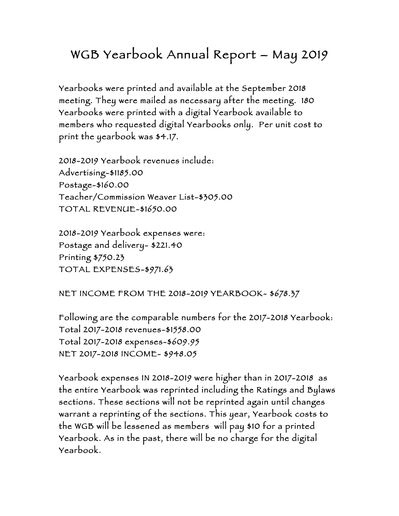## WGB Yearbook Annual Report – May 2019

Yearbooks were printed and available at the September 2018 meeting. They were mailed as necessary after the meeting. 180 Yearbooks were printed with a digital Yearbook available to members who requested digital Yearbooks only. Per unit cost to print the yearbook was \$4.17.

2018-2019 Yearbook revenues include: Advertising-\$1185.00 Postage-\$160.00 Teacher/Commission Weaver List-\$305.00 TOTAL REVENUE-\$1650.00

2018-2019 Yearbook expenses were: Postage and delivery- \$221.40 Printing \$750.23 TOTAL EXPENSES-\$971.63

NET INCOME FROM THE 2018-2019 YEARBOOK- \$678.37

Following are the comparable numbers for the 2017-2018 Yearbook: Total 2017-2018 revenues-\$1558.00 Total 2017-2018 expenses-\$609.95 NET 2017-2018 INCOME- \$948.05

Yearbook expenses IN 2018-2019 were higher than in 2017-2018 as the entire Yearbook was reprinted including the Ratings and Bylaws sections. These sections will not be reprinted again until changes warrant a reprinting of the sections. This year, Yearbook costs to the WGB will be lessened as members will pay \$10 for a printed Yearbook. As in the past, there will be no charge for the digital Yearbook.